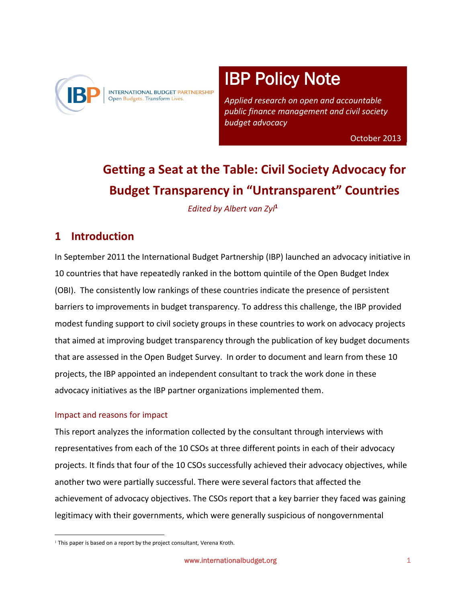

INTERNATIONAL BUDGET PARTNERSHIP Open Budgets. Transform Lives.

#### į ī IBP Policy Note

 *Applied research on open and accountable public finance management and civil society budget advocacy* 

October 2013

# **Getting a Seat at the Table: Civil Society Advocacy for Budget Transparency in "Untransparent" Countries**

*Edited by Albert van Zyl***<sup>1</sup>**

i<br>I

 $\overline{\phantom{a}}$ 

# **1 Introduction**

In September 2011 the International Budget Partnership (IBP) launched an advocacy initiative in 10 countries that have repeatedly ranked in the bottom quintile of the Open Budget Index (OBI). The consistently low rankings of these countries indicate the presence of persistent barriers to improvements in budget transparency. To address this challenge, the IBP provided modest funding support to civil society groups in these countries to work on advocacy projects that aimed at improving budget transparency through the publication of key budget documents that are assessed in the Open Budget Survey. In order to document and learn from these 10 projects, the IBP appointed an independent consultant to track the work done in these advocacy initiatives as the IBP partner organizations implemented them.

## Impact and reasons for impact

 $\overline{a}$ 

This report analyzes the information collected by the consultant through interviews with representatives from each of the 10 CSOs at three different points in each of their advocacy projects. It finds that four of the 10 CSOs successfully achieved their advocacy objectives, while another two were partially successful. There were several factors that affected the achievement of advocacy objectives. The CSOs report that a key barrier they faced was gaining legitimacy with their governments, which were generally suspicious of nongovernmental

<sup>&</sup>lt;sup>1</sup> This paper is based on a report by the project consultant, Verena Kroth.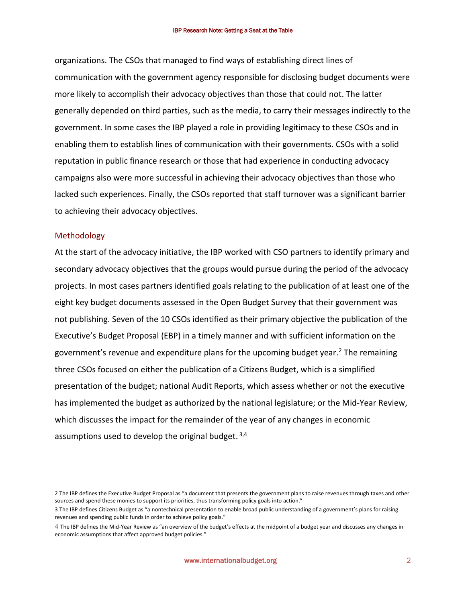organizations. The CSOs that managed to find ways of establishing direct lines of communication with the government agency responsible for disclosing budget documents were more likely to accomplish their advocacy objectives than those that could not. The latter generally depended on third parties, such as the media, to carry their messages indirectly to the government. In some cases the IBP played a role in providing legitimacy to these CSOs and in enabling them to establish lines of communication with their governments. CSOs with a solid reputation in public finance research or those that had experience in conducting advocacy campaigns also were more successful in achieving their advocacy objectives than those who lacked such experiences. Finally, the CSOs reported that staff turnover was a significant barrier to achieving their advocacy objectives.

#### Methodology

 $\overline{a}$ 

At the start of the advocacy initiative, the IBP worked with CSO partners to identify primary and secondary advocacy objectives that the groups would pursue during the period of the advocacy projects. In most cases partners identified goals relating to the publication of at least one of the eight key budget documents assessed in the Open Budget Survey that their government was not publishing. Seven of the 10 CSOs identified as their primary objective the publication of the Executive's Budget Proposal (EBP) in a timely manner and with sufficient information on the government's revenue and expenditure plans for the upcoming budget year.<sup>2</sup> The remaining three CSOs focused on either the publication of a Citizens Budget, which is a simplified presentation of the budget; national Audit Reports, which assess whether or not the executive has implemented the budget as authorized by the national legislature; or the Mid-Year Review, which discusses the impact for the remainder of the year of any changes in economic assumptions used to develop the original budget.  $3,4$ 

<sup>2</sup> The IBP defines the Executive Budget Proposal as "a document that presents the government plans to raise revenues through taxes and other sources and spend these monies to support its priorities, thus transforming policy goals into action."

<sup>3</sup> The IBP defines Citizens Budget as "a nontechnical presentation to enable broad public understanding of a government's plans for raising revenues and spending public funds in order to achieve policy goals."

<sup>4</sup> The IBP defines the Mid-Year Review as "an overview of the budget's effects at the midpoint of a budget year and discusses any changes in economic assumptions that affect approved budget policies."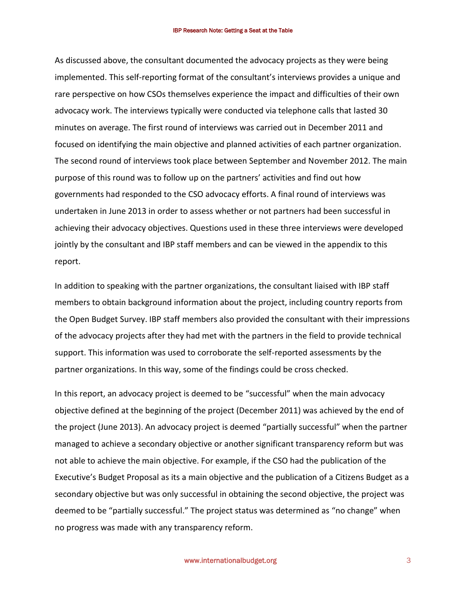As discussed above, the consultant documented the advocacy projects as they were being implemented. This self-reporting format of the consultant's interviews provides a unique and rare perspective on how CSOs themselves experience the impact and difficulties of their own advocacy work. The interviews typically were conducted via telephone calls that lasted 30 minutes on average. The first round of interviews was carried out in December 2011 and focused on identifying the main objective and planned activities of each partner organization. The second round of interviews took place between September and November 2012. The main purpose of this round was to follow up on the partners' activities and find out how governments had responded to the CSO advocacy efforts. A final round of interviews was undertaken in June 2013 in order to assess whether or not partners had been successful in achieving their advocacy objectives. Questions used in these three interviews were developed jointly by the consultant and IBP staff members and can be viewed in the appendix to this report.

In addition to speaking with the partner organizations, the consultant liaised with IBP staff members to obtain background information about the project, including country reports from the Open Budget Survey. IBP staff members also provided the consultant with their impressions of the advocacy projects after they had met with the partners in the field to provide technical support. This information was used to corroborate the self-reported assessments by the partner organizations. In this way, some of the findings could be cross checked.

In this report, an advocacy project is deemed to be "successful" when the main advocacy objective defined at the beginning of the project (December 2011) was achieved by the end of the project (June 2013). An advocacy project is deemed "partially successful" when the partner managed to achieve a secondary objective or another significant transparency reform but was not able to achieve the main objective. For example, if the CSO had the publication of the Executive's Budget Proposal as its a main objective and the publication of a Citizens Budget as a secondary objective but was only successful in obtaining the second objective, the project was deemed to be "partially successful." The project status was determined as "no change" when no progress was made with any transparency reform.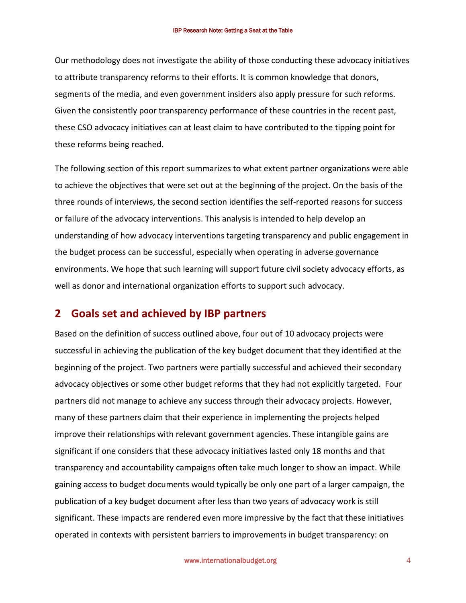Our methodology does not investigate the ability of those conducting these advocacy initiatives to attribute transparency reforms to their efforts. It is common knowledge that donors, segments of the media, and even government insiders also apply pressure for such reforms. Given the consistently poor transparency performance of these countries in the recent past, these CSO advocacy initiatives can at least claim to have contributed to the tipping point for these reforms being reached.

The following section of this report summarizes to what extent partner organizations were able to achieve the objectives that were set out at the beginning of the project. On the basis of the three rounds of interviews, the second section identifies the self-reported reasons for success or failure of the advocacy interventions. This analysis is intended to help develop an understanding of how advocacy interventions targeting transparency and public engagement in the budget process can be successful, especially when operating in adverse governance environments. We hope that such learning will support future civil society advocacy efforts, as well as donor and international organization efforts to support such advocacy.

# **2 Goals set and achieved by IBP partners**

Based on the definition of success outlined above, four out of 10 advocacy projects were successful in achieving the publication of the key budget document that they identified at the beginning of the project. Two partners were partially successful and achieved their secondary advocacy objectives or some other budget reforms that they had not explicitly targeted. Four partners did not manage to achieve any success through their advocacy projects. However, many of these partners claim that their experience in implementing the projects helped improve their relationships with relevant government agencies. These intangible gains are significant if one considers that these advocacy initiatives lasted only 18 months and that transparency and accountability campaigns often take much longer to show an impact. While gaining access to budget documents would typically be only one part of a larger campaign, the publication of a key budget document after less than two years of advocacy work is still significant. These impacts are rendered even more impressive by the fact that these initiatives operated in contexts with persistent barriers to improvements in budget transparency: on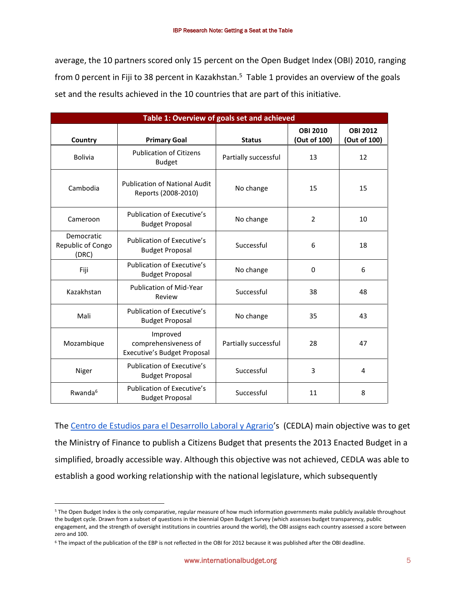average, the 10 partners scored only 15 percent on the Open Budget Index (OBI) 2010, ranging from 0 percent in Fiji to 38 percent in Kazakhstan.<sup>5</sup> Table 1 provides an overview of the goals set and the results achieved in the 10 countries that are part of this initiative.

| Table 1: Overview of goals set and achieved |                                                                 |                      |                                 |                                 |
|---------------------------------------------|-----------------------------------------------------------------|----------------------|---------------------------------|---------------------------------|
| Country                                     | <b>Primary Goal</b>                                             | <b>Status</b>        | <b>OBI 2010</b><br>(Out of 100) | <b>OBI 2012</b><br>(Out of 100) |
| <b>Bolivia</b>                              | <b>Publication of Citizens</b><br><b>Budget</b>                 | Partially successful | 13                              | 12                              |
| Cambodia                                    | <b>Publication of National Audit</b><br>Reports (2008-2010)     | No change            | 15                              | 15                              |
| Cameroon                                    | Publication of Executive's<br><b>Budget Proposal</b>            | No change            | $\overline{2}$                  | 10                              |
| Democratic<br>Republic of Congo<br>(DRC)    | <b>Publication of Executive's</b><br><b>Budget Proposal</b>     | Successful           | 6                               | 18                              |
| Fiji                                        | Publication of Executive's<br><b>Budget Proposal</b>            | No change            | 0                               | 6                               |
| Kazakhstan                                  | <b>Publication of Mid-Year</b><br>Review                        | Successful           | 38                              | 48                              |
| Mali                                        | Publication of Executive's<br><b>Budget Proposal</b>            | No change            | 35                              | 43                              |
| Mozambique                                  | Improved<br>comprehensiveness of<br>Executive's Budget Proposal | Partially successful | 28                              | 47                              |
| Niger                                       | Publication of Executive's<br><b>Budget Proposal</b>            | Successful           | 3                               | 4                               |
| Rwanda <sup>6</sup>                         | Publication of Executive's<br><b>Budget Proposal</b>            | Successful           | 11                              | 8                               |

The [Centro de Estudios para el Desarrollo Laboral y Agrario](http://www.cedla.uva.nl/)'s (CEDLA) main objective was to get the Ministry of Finance to publish a Citizens Budget that presents the 2013 Enacted Budget in a simplified, broadly accessible way. Although this objective was not achieved, CEDLA was able to establish a good working relationship with the national legislature, which subsequently

 $\overline{a}$ 

<sup>&</sup>lt;sup>5</sup> The Open Budget Index is the only comparative, regular measure of how much information governments make publicly available throughout the budget cycle. Drawn from a subset of questions in the biennial Open Budget Survey (which assesses budget transparency, public engagement, and the strength of oversight institutions in countries around the world), the OBI assigns each country assessed a score between zero and 100.

<sup>6</sup> The impact of the publication of the EBP is not reflected in the OBI for 2012 because it was published after the OBI deadline.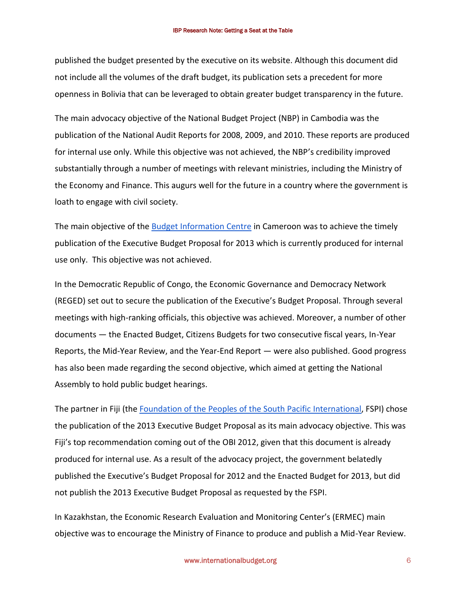published the budget presented by the executive on its website. Although this document did not include all the volumes of the draft budget, its publication sets a precedent for more openness in Bolivia that can be leveraged to obtain greater budget transparency in the future.

The main advocacy objective of the National Budget Project (NBP) in Cambodia was the publication of the National Audit Reports for 2008, 2009, and 2010. These reports are produced for internal use only. While this objective was not achieved, the NBP's credibility improved substantially through a number of meetings with relevant ministries, including the Ministry of the Economy and Finance. This augurs well for the future in a country where the government is loath to engage with civil society.

The main objective of the [Budget Information Centre](http://internationalbudget.org/groups/budget-information-centre/) in Cameroon was to achieve the timely publication of the Executive Budget Proposal for 2013 which is currently produced for internal use only. This objective was not achieved.

In the Democratic Republic of Congo, the [Economic Governance and Democracy Network](http://www.globalbtap.org/placemarks/reseau-gouvernance-economique-et-democratie-reged/)  (REGED) set out to secure the publication of the Executive's Budget Proposal. Through several meetings with high-ranking officials, this objective was achieved. Moreover, a number of other documents — the Enacted Budget, Citizens Budgets for two consecutive fiscal years, In-Year Reports, the Mid-Year Review, and the Year-End Report — were also published. Good progress has also been made regarding the second objective, which aimed at getting the National Assembly to hold public budget hearings.

The partner in Fiji (the [Foundation of the Peoples of the South Pacific International,](http://www.fspi.org.fj/) FSPI) chose the publication of the 2013 Executive Budget Proposal as its main advocacy objective. This was Fiji's top recommendation coming out of the OBI 2012, given that this document is already produced for internal use. As a result of the advocacy project, the government belatedly published the Executive's Budget Proposal for 2012 and the Enacted Budget for 2013, but did not publish the 2013 Executive Budget Proposal as requested by the FSPI.

In Kazakhstan, the Economic Research Evaluation and Monitoring Center's (ERMEC) main objective was to encourage the Ministry of Finance to produce and publish a Mid-Year Review.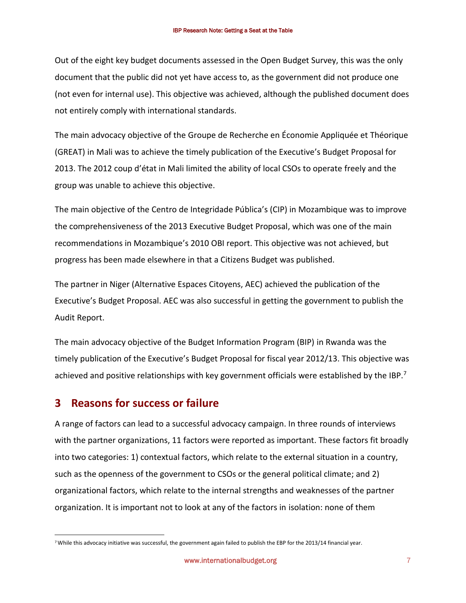Out of the eight key budget documents assessed in the Open Budget Survey, this was the only document that the public did not yet have access to, as the government did not produce one (not even for internal use). This objective was achieved, although the published document does not entirely comply with international standards.

The main advocacy objective of the [Groupe de Recherche en Économie Appliquée et Théorique](http://www.greatmali.net/)  (GREAT) in Mali was to achieve the timely publication of the Executive's Budget Proposal for 2013. The 2012 coup d'état in Mali limited the ability of local CSOs to operate freely and the group was unable to achieve this objective.

The main objective of the [Centro de Integridade Pública](http://www.cip.org.mz/)'s (CIP) in Mozambique was to improve the comprehensiveness of the 2013 Executive Budget Proposal, which was one of the main recommendations in Mozambique's 2010 OBI report. This objective was not achieved, but progress has been made elsewhere in that a Citizens Budget was published.

The partner in Niger [\(Alternative Espaces Citoyens,](http://www.alternativeniger.org/) AEC) achieved the publication of the Executive's Budget Proposal. AEC was also successful in getting the government to publish the Audit Report.

The main advocacy objective of the Budget Information Program (BIP) in Rwanda was the timely publication of the Executive's Budget Proposal for fiscal year 2012/13. This objective was achieved and positive relationships with key government officials were established by the IBP.<sup>7</sup>

# **3 Reasons for success or failure**

 $\overline{a}$ 

A range of factors can lead to a successful advocacy campaign. In three rounds of interviews with the partner organizations, 11 factors were reported as important. These factors fit broadly into two categories: 1) contextual factors, which relate to the external situation in a country, such as the openness of the government to CSOs or the general political climate; and 2) organizational factors, which relate to the internal strengths and weaknesses of the partner organization. It is important not to look at any of the factors in isolation: none of them

<sup>7</sup> While this advocacy initiative was successful, the government again failed to publish the EBP for the 2013/14 financial year.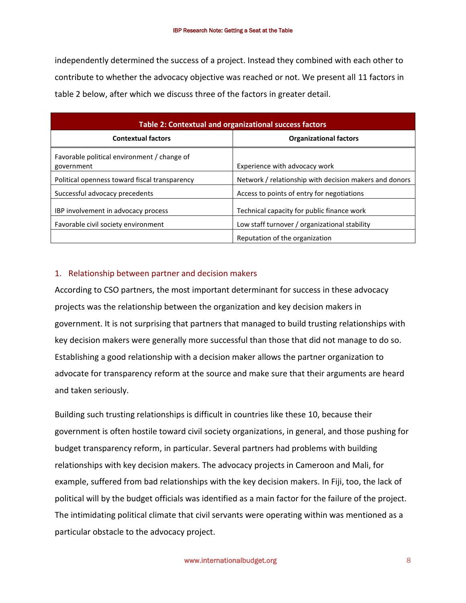independently determined the success of a project. Instead they combined with each other to contribute to whether the advocacy objective was reached or not. We present all 11 factors in table 2 below, after which we discuss three of the factors in greater detail.

| Table 2: Contextual and organizational success factors    |                                                        |  |  |
|-----------------------------------------------------------|--------------------------------------------------------|--|--|
| <b>Contextual factors</b>                                 | <b>Organizational factors</b>                          |  |  |
| Favorable political environment / change of<br>government | Experience with advocacy work                          |  |  |
| Political openness toward fiscal transparency             | Network / relationship with decision makers and donors |  |  |
| Successful advocacy precedents                            | Access to points of entry for negotiations             |  |  |
| IBP involvement in advocacy process                       | Technical capacity for public finance work             |  |  |
| Favorable civil society environment                       | Low staff turnover / organizational stability          |  |  |
|                                                           | Reputation of the organization                         |  |  |

### 1. Relationship between partner and decision makers

According to CSO partners, the most important determinant for success in these advocacy projects was the relationship between the organization and key decision makers in government. It is not surprising that partners that managed to build trusting relationships with key decision makers were generally more successful than those that did not manage to do so. Establishing a good relationship with a decision maker allows the partner organization to advocate for transparency reform at the source and make sure that their arguments are heard and taken seriously.

Building such trusting relationships is difficult in countries like these 10, because their government is often hostile toward civil society organizations, in general, and those pushing for budget transparency reform, in particular. Several partners had problems with building relationships with key decision makers. The advocacy projects in Cameroon and Mali, for example, suffered from bad relationships with the key decision makers. In Fiji, too, the lack of political will by the budget officials was identified as a main factor for the failure of the project. The intimidating political climate that civil servants were operating within was mentioned as a particular obstacle to the advocacy project.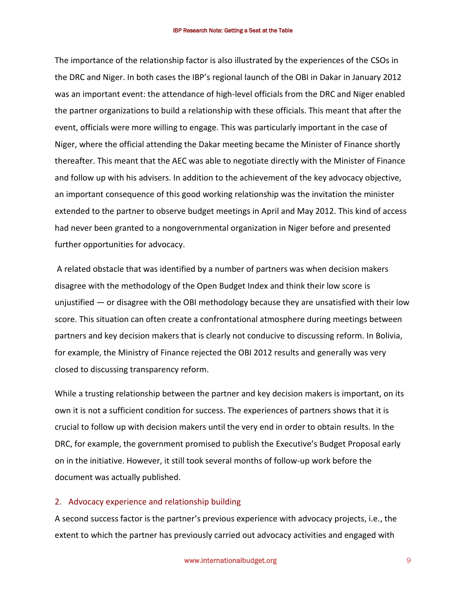The importance of the relationship factor is also illustrated by the experiences of the CSOs in the DRC and Niger. In both cases the IBP's regional launch of the OBI in Dakar in January 2012 was an important event: the attendance of high-level officials from the DRC and Niger enabled the partner organizations to build a relationship with these officials. This meant that after the event, officials were more willing to engage. This was particularly important in the case of Niger, where the official attending the Dakar meeting became the Minister of Finance shortly thereafter. This meant that the AEC was able to negotiate directly with the Minister of Finance and follow up with his advisers. In addition to the achievement of the key advocacy objective, an important consequence of this good working relationship was the invitation the minister extended to the partner to observe budget meetings in April and May 2012. This kind of access had never been granted to a nongovernmental organization in Niger before and presented further opportunities for advocacy.

 A related obstacle that was identified by a number of partners was when decision makers disagree with the methodology of the Open Budget Index and think their low score is unjustified — or disagree with the OBI methodology because they are unsatisfied with their low score. This situation can often create a confrontational atmosphere during meetings between partners and key decision makers that is clearly not conducive to discussing reform. In Bolivia, for example, the Ministry of Finance rejected the OBI 2012 results and generally was very closed to discussing transparency reform.

While a trusting relationship between the partner and key decision makers is important, on its own it is not a sufficient condition for success. The experiences of partners shows that it is crucial to follow up with decision makers until the very end in order to obtain results. In the DRC, for example, the government promised to publish the Executive's Budget Proposal early on in the initiative. However, it still took several months of follow-up work before the document was actually published.

#### 2. Advocacy experience and relationship building

A second success factor is the partner's previous experience with advocacy projects, i.e., the extent to which the partner has previously carried out advocacy activities and engaged with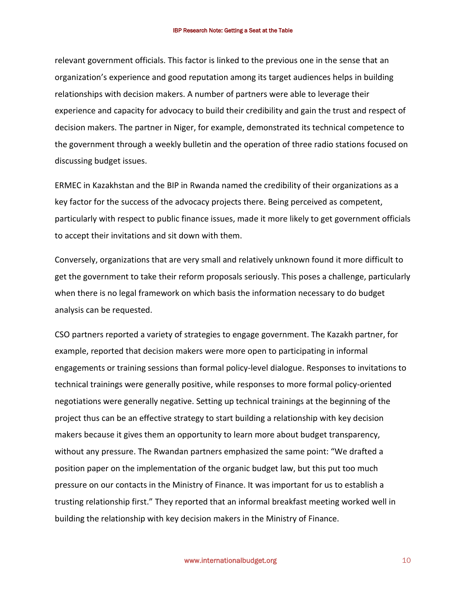relevant government officials. This factor is linked to the previous one in the sense that an organization's experience and good reputation among its target audiences helps in building relationships with decision makers. A number of partners were able to leverage their experience and capacity for advocacy to build their credibility and gain the trust and respect of decision makers. The partner in Niger, for example, demonstrated its technical competence to the government through a weekly bulletin and the operation of three radio stations focused on discussing budget issues.

ERMEC in Kazakhstan and the BIP in Rwanda named the credibility of their organizations as a key factor for the success of the advocacy projects there. Being perceived as competent, particularly with respect to public finance issues, made it more likely to get government officials to accept their invitations and sit down with them.

Conversely, organizations that are very small and relatively unknown found it more difficult to get the government to take their reform proposals seriously. This poses a challenge, particularly when there is no legal framework on which basis the information necessary to do budget analysis can be requested.

CSO partners reported a variety of strategies to engage government. The Kazakh partner, for example, reported that decision makers were more open to participating in informal engagements or training sessions than formal policy-level dialogue. Responses to invitations to technical trainings were generally positive, while responses to more formal policy-oriented negotiations were generally negative. Setting up technical trainings at the beginning of the project thus can be an effective strategy to start building a relationship with key decision makers because it gives them an opportunity to learn more about budget transparency, without any pressure. The Rwandan partners emphasized the same point: "We drafted a position paper on the implementation of the organic budget law, but this put too much pressure on our contacts in the Ministry of Finance. It was important for us to establish a trusting relationship first." They reported that an informal breakfast meeting worked well in building the relationship with key decision makers in the Ministry of Finance.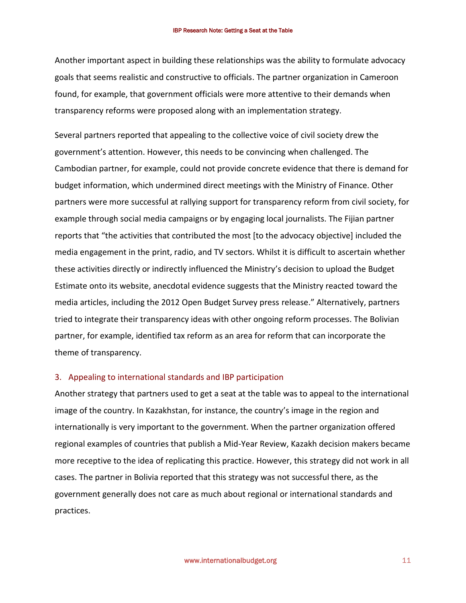Another important aspect in building these relationships was the ability to formulate advocacy goals that seems realistic and constructive to officials. The partner organization in Cameroon found, for example, that government officials were more attentive to their demands when transparency reforms were proposed along with an implementation strategy.

Several partners reported that appealing to the collective voice of civil society drew the government's attention. However, this needs to be convincing when challenged. The Cambodian partner, for example, could not provide concrete evidence that there is demand for budget information, which undermined direct meetings with the Ministry of Finance. Other partners were more successful at rallying support for transparency reform from civil society, for example through social media campaigns or by engaging local journalists. The Fijian partner reports that "the activities that contributed the most [to the advocacy objective] included the media engagement in the print, radio, and TV sectors. Whilst it is difficult to ascertain whether these activities directly or indirectly influenced the Ministry's decision to upload the Budget Estimate onto its website, anecdotal evidence suggests that the Ministry reacted toward the media articles, including the 2012 Open Budget Survey press release." Alternatively, partners tried to integrate their transparency ideas with other ongoing reform processes. The Bolivian partner, for example, identified tax reform as an area for reform that can incorporate the theme of transparency.

#### 3. Appealing to international standards and IBP participation

Another strategy that partners used to get a seat at the table was to appeal to the international image of the country. In Kazakhstan, for instance, the country's image in the region and internationally is very important to the government. When the partner organization offered regional examples of countries that publish a Mid-Year Review, Kazakh decision makers became more receptive to the idea of replicating this practice. However, this strategy did not work in all cases. The partner in Bolivia reported that this strategy was not successful there, as the government generally does not care as much about regional or international standards and practices.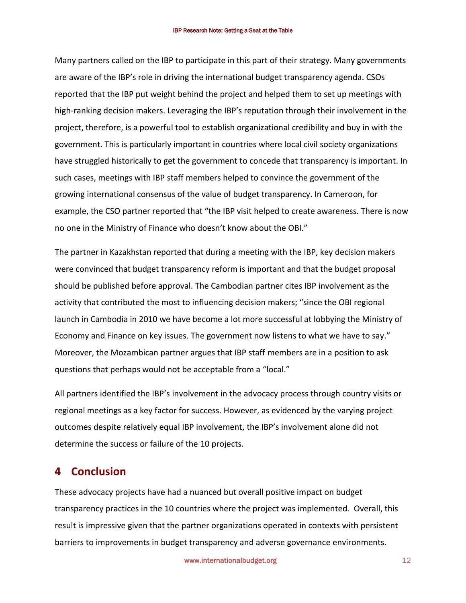Many partners called on the IBP to participate in this part of their strategy. Many governments are aware of the IBP's role in driving the international budget transparency agenda. CSOs reported that the IBP put weight behind the project and helped them to set up meetings with high-ranking decision makers. Leveraging the IBP's reputation through their involvement in the project, therefore, is a powerful tool to establish organizational credibility and buy in with the government. This is particularly important in countries where local civil society organizations have struggled historically to get the government to concede that transparency is important. In such cases, meetings with IBP staff members helped to convince the government of the growing international consensus of the value of budget transparency. In Cameroon, for example, the CSO partner reported that "the IBP visit helped to create awareness. There is now no one in the Ministry of Finance who doesn't know about the OBI."

The partner in Kazakhstan reported that during a meeting with the IBP, key decision makers were convinced that budget transparency reform is important and that the budget proposal should be published before approval. The Cambodian partner cites IBP involvement as the activity that contributed the most to influencing decision makers; "since the OBI regional launch in Cambodia in 2010 we have become a lot more successful at lobbying the Ministry of Economy and Finance on key issues. The government now listens to what we have to say." Moreover, the Mozambican partner argues that IBP staff members are in a position to ask questions that perhaps would not be acceptable from a "local."

All partners identified the IBP's involvement in the advocacy process through country visits or regional meetings as a key factor for success. However, as evidenced by the varying project outcomes despite relatively equal IBP involvement, the IBP's involvement alone did not determine the success or failure of the 10 projects.

# **4 Conclusion**

These advocacy projects have had a nuanced but overall positive impact on budget transparency practices in the 10 countries where the project was implemented. Overall, this result is impressive given that the partner organizations operated in contexts with persistent barriers to improvements in budget transparency and adverse governance environments.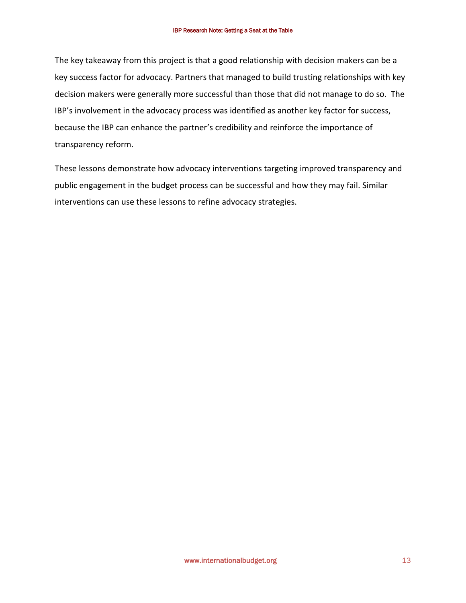The key takeaway from this project is that a good relationship with decision makers can be a key success factor for advocacy. Partners that managed to build trusting relationships with key decision makers were generally more successful than those that did not manage to do so. The IBP's involvement in the advocacy process was identified as another key factor for success, because the IBP can enhance the partner's credibility and reinforce the importance of transparency reform.

These lessons demonstrate how advocacy interventions targeting improved transparency and public engagement in the budget process can be successful and how they may fail. Similar interventions can use these lessons to refine advocacy strategies.